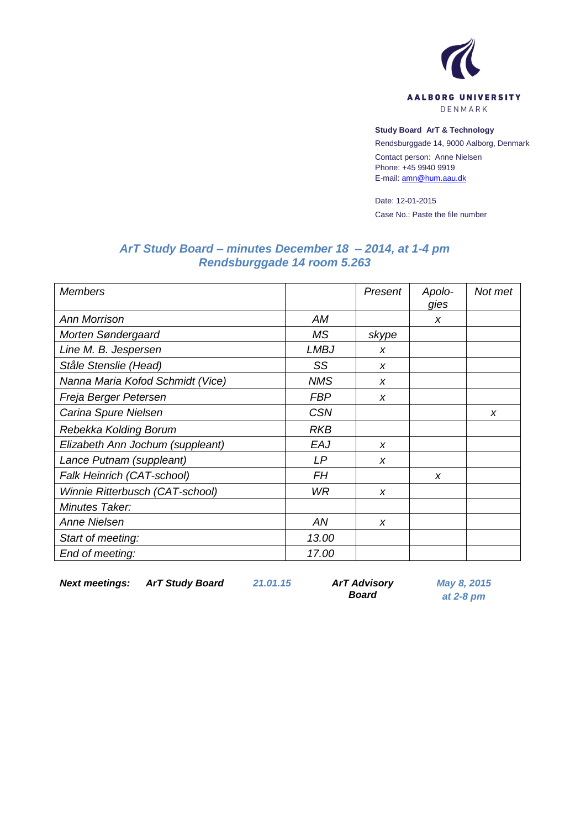

## **Study Board ArT & Technology**

Rendsburggade 14, 9000 Aalborg, Denmark

Contact person: Anne Nielsen Phone: +45 9940 9919 E-mail[: amn@hum.aau.dk](mailto:amn@hum.aau.dk)

Date: 12-01-2015 Case No.: Paste the file number

# *ArT Study Board – minutes December 18 – 2014, at 1-4 pm Rendsburggade 14 room 5.263*

| <b>Members</b>                   |             | Present          | Apolo-<br>gies | Not met          |
|----------------------------------|-------------|------------------|----------------|------------------|
| <b>Ann Morrison</b>              | <b>AM</b>   |                  | X              |                  |
| Morten Søndergaard               | MS.         | skype            |                |                  |
| Line M. B. Jespersen             | <b>LMBJ</b> | X                |                |                  |
| Ståle Stenslie (Head)            | SS          | $\boldsymbol{x}$ |                |                  |
| Nanna Maria Kofod Schmidt (Vice) | <b>NMS</b>  | $\boldsymbol{x}$ |                |                  |
| Freja Berger Petersen            | <b>FBP</b>  | X                |                |                  |
| Carina Spure Nielsen             | <b>CSN</b>  |                  |                | $\boldsymbol{x}$ |
| Rebekka Kolding Borum            | <b>RKB</b>  |                  |                |                  |
| Elizabeth Ann Jochum (suppleant) | EAJ         | X                |                |                  |
| Lance Putnam (suppleant)         | LP          | X                |                |                  |
| Falk Heinrich (CAT-school)       | FН          |                  | X              |                  |
| Winnie Ritterbusch (CAT-school)  | WR          | X                |                |                  |
| Minutes Taker:                   |             |                  |                |                  |
| Anne Nielsen                     | AN          | $\boldsymbol{x}$ |                |                  |
| Start of meeting:                | 13.00       |                  |                |                  |
| End of meeting:                  | 17.00       |                  |                |                  |

*Next meetings: ArT Study Board 21.01.15 ArT Advisory* 

*Board*

*May 8, 2015 at 2-8 pm*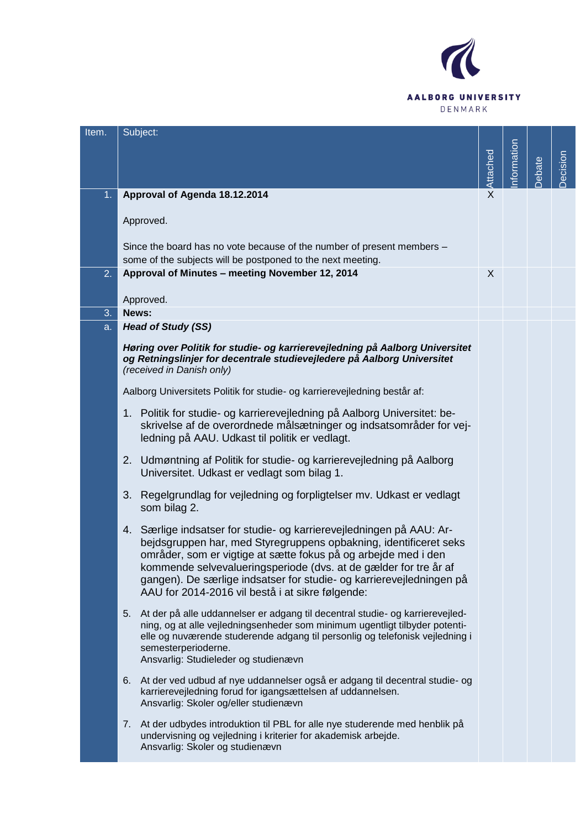

| Item. | Subject:                                                                                                                                                                                                                                                                                                                                                                                                    |              |            |       |          |
|-------|-------------------------------------------------------------------------------------------------------------------------------------------------------------------------------------------------------------------------------------------------------------------------------------------------------------------------------------------------------------------------------------------------------------|--------------|------------|-------|----------|
|       |                                                                                                                                                                                                                                                                                                                                                                                                             |              |            |       |          |
|       |                                                                                                                                                                                                                                                                                                                                                                                                             | Attached     | nformation | ebate | Decision |
|       |                                                                                                                                                                                                                                                                                                                                                                                                             |              |            |       |          |
| 1.    | Approval of Agenda 18.12.2014                                                                                                                                                                                                                                                                                                                                                                               | $\mathsf{X}$ |            |       |          |
|       | Approved.                                                                                                                                                                                                                                                                                                                                                                                                   |              |            |       |          |
|       | Since the board has no vote because of the number of present members -<br>some of the subjects will be postponed to the next meeting.                                                                                                                                                                                                                                                                       |              |            |       |          |
| 2.    | Approval of Minutes - meeting November 12, 2014                                                                                                                                                                                                                                                                                                                                                             | X            |            |       |          |
|       | Approved.                                                                                                                                                                                                                                                                                                                                                                                                   |              |            |       |          |
| 3.    | News:                                                                                                                                                                                                                                                                                                                                                                                                       |              |            |       |          |
| a.    | <b>Head of Study (SS)</b>                                                                                                                                                                                                                                                                                                                                                                                   |              |            |       |          |
|       | Høring over Politik for studie- og karrierevejledning på Aalborg Universitet<br>og Retningslinjer for decentrale studievejledere på Aalborg Universitet<br>(received in Danish only)                                                                                                                                                                                                                        |              |            |       |          |
|       | Aalborg Universitets Politik for studie- og karrierevejledning består af:                                                                                                                                                                                                                                                                                                                                   |              |            |       |          |
|       | 1. Politik for studie- og karrierevejledning på Aalborg Universitet: be-<br>skrivelse af de overordnede målsætninger og indsatsområder for vej-<br>ledning på AAU. Udkast til politik er vedlagt.                                                                                                                                                                                                           |              |            |       |          |
|       | Udmøntning af Politik for studie- og karrierevejledning på Aalborg<br>2.<br>Universitet. Udkast er vedlagt som bilag 1.                                                                                                                                                                                                                                                                                     |              |            |       |          |
|       | 3. Regelgrundlag for vejledning og forpligtelser mv. Udkast er vedlagt<br>som bilag 2.                                                                                                                                                                                                                                                                                                                      |              |            |       |          |
|       | 4. Særlige indsatser for studie- og karrierevejledningen på AAU: Ar-<br>bejdsgruppen har, med Styregruppens opbakning, identificeret seks<br>områder, som er vigtige at sætte fokus på og arbejde med i den<br>kommende selvevalueringsperiode (dvs. at de gælder for tre år af<br>gangen). De særlige indsatser for studie- og karrierevejledningen på<br>AAU for 2014-2016 vil bestå i at sikre følgende: |              |            |       |          |
|       | 5.<br>At der på alle uddannelser er adgang til decentral studie- og karrierevejled-<br>ning, og at alle vejledningsenheder som minimum ugentligt tilbyder potenti-<br>elle og nuværende studerende adgang til personlig og telefonisk vejledning i<br>semesterperioderne.<br>Ansvarlig: Studieleder og studienævn                                                                                           |              |            |       |          |
|       | 6. At der ved udbud af nye uddannelser også er adgang til decentral studie- og<br>karrierevejledning forud for igangsættelsen af uddannelsen.<br>Ansvarlig: Skoler og/eller studienævn                                                                                                                                                                                                                      |              |            |       |          |
|       | At der udbydes introduktion til PBL for alle nye studerende med henblik på<br>7.<br>undervisning og vejledning i kriterier for akademisk arbejde.<br>Ansvarlig: Skoler og studienævn                                                                                                                                                                                                                        |              |            |       |          |
|       |                                                                                                                                                                                                                                                                                                                                                                                                             |              |            |       |          |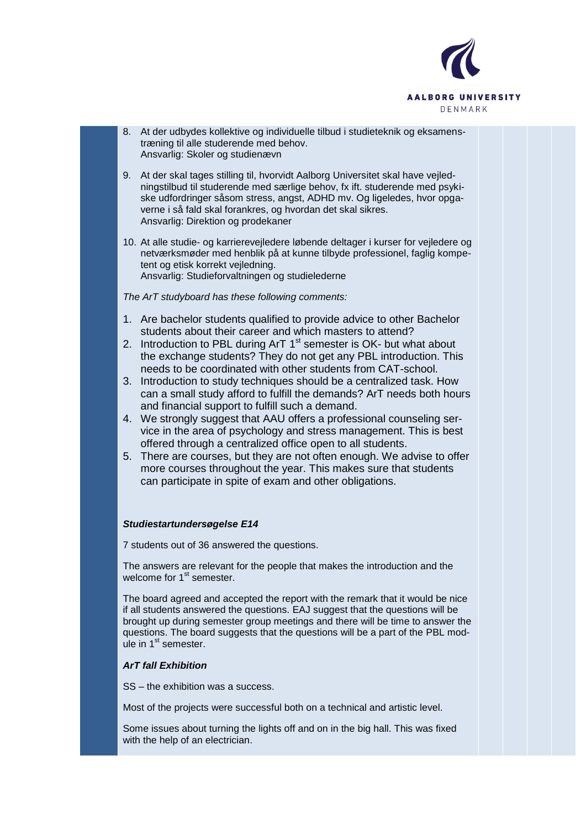

- 8. At der udbydes kollektive og individuelle tilbud i studieteknik og eksamenstræning til alle studerende med behov. Ansvarlig: Skoler og studienævn
- 9. At der skal tages stilling til, hvorvidt Aalborg Universitet skal have vejledningstilbud til studerende med særlige behov, fx ift. studerende med psykiske udfordringer såsom stress, angst, ADHD mv. Og ligeledes, hvor opgaverne i så fald skal forankres, og hvordan det skal sikres. Ansvarlig: Direktion og prodekaner
- 10. At alle studie- og karrierevejledere løbende deltager i kurser for vejledere og netværksmøder med henblik på at kunne tilbyde professionel, faglig kompetent og etisk korrekt vejledning. Ansvarlig: Studieforvaltningen og studielederne

*The ArT studyboard has these following comments:*

- 1. Are bachelor students qualified to provide advice to other Bachelor students about their career and which masters to attend?
- 2. Introduction to PBL during ArT  $1<sup>st</sup>$  semester is OK- but what about the exchange students? They do not get any PBL introduction. This needs to be coordinated with other students from CAT-school.
- 3. Introduction to study techniques should be a centralized task. How can a small study afford to fulfill the demands? ArT needs both hours and financial support to fulfill such a demand.
- 4. We strongly suggest that AAU offers a professional counseling service in the area of psychology and stress management. This is best offered through a centralized office open to all students.
- 5. There are courses, but they are not often enough. We advise to offer more courses throughout the year. This makes sure that students can participate in spite of exam and other obligations.

# *Studiestartundersøgelse E14*

7 students out of 36 answered the questions.

The answers are relevant for the people that makes the introduction and the welcome for 1<sup>st</sup> semester.

The board agreed and accepted the report with the remark that it would be nice if all students answered the questions. EAJ suggest that the questions will be brought up during semester group meetings and there will be time to answer the questions. The board suggests that the questions will be a part of the PBL module in  $1<sup>st</sup>$  semester.

# *ArT fall Exhibition*

SS – the exhibition was a success.

Most of the projects were successful both on a technical and artistic level.

Some issues about turning the lights off and on in the big hall. This was fixed with the help of an electrician.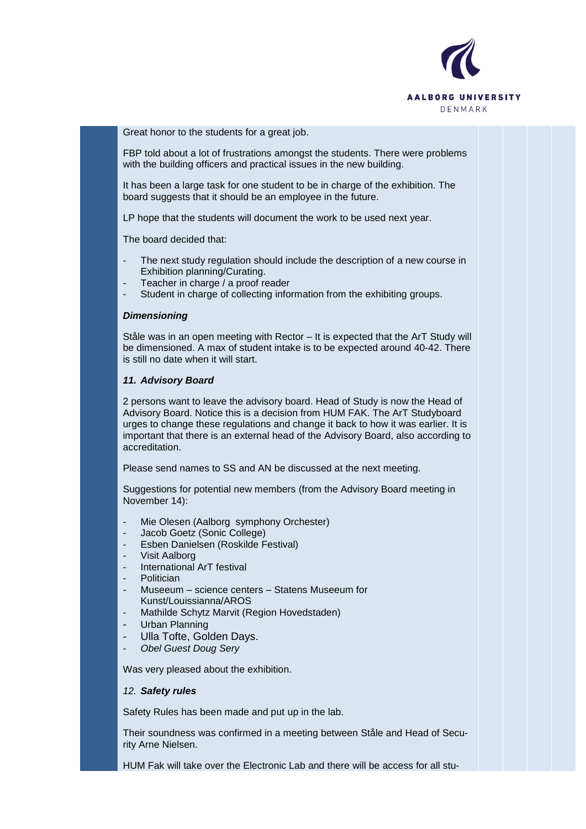

Great honor to the students for a great job.

FBP told about a lot of frustrations amongst the students. There were problems with the building officers and practical issues in the new building.

It has been a large task for one student to be in charge of the exhibition. The board suggests that it should be an employee in the future.

LP hope that the students will document the work to be used next year.

The board decided that:

- The next study regulation should include the description of a new course in Exhibition planning/Curating.
- Teacher in charge / a proof reader
- Student in charge of collecting information from the exhibiting groups.

### *Dimensioning*

Ståle was in an open meeting with Rector – It is expected that the ArT Study will be dimensioned. A max of student intake is to be expected around 40-42. There is still no date when it will start.

#### *11. Advisory Board*

2 persons want to leave the advisory board. Head of Study is now the Head of Advisory Board. Notice this is a decision from HUM FAK. The ArT Studyboard urges to change these regulations and change it back to how it was earlier. It is important that there is an external head of the Advisory Board, also according to accreditation.

Please send names to SS and AN be discussed at the next meeting.

Suggestions for potential new members (from the Advisory Board meeting in November 14):

- Mie Olesen (Aalborg symphony Orchester)
- Jacob Goetz (Sonic College)
- Esben Danielsen (Roskilde Festival)
- Visit Aalborg
- International ArT festival
- Politician
- Museeum science centers Statens Museeum for Kunst/Louissianna/AROS
- Mathilde Schytz Marvit (Region Hovedstaden)
- Urban Planning
- Ulla Tofte, Golden Days.
- *Obel Guest Doug Sery*

Was very pleased about the exhibition.

### *12. Safety rules*

Safety Rules has been made and put up in the lab.

Their soundness was confirmed in a meeting between Ståle and Head of Security Arne Nielsen.

HUM Fak will take over the Electronic Lab and there will be access for all stu-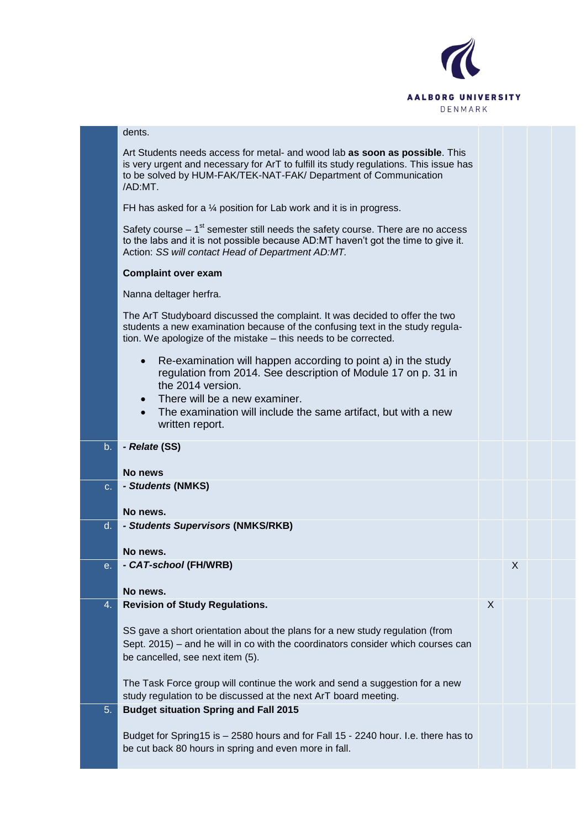

|                | dents.                                                                                                                                                                                                                                                                                  |   |   |  |
|----------------|-----------------------------------------------------------------------------------------------------------------------------------------------------------------------------------------------------------------------------------------------------------------------------------------|---|---|--|
|                | Art Students needs access for metal- and wood lab as soon as possible. This<br>is very urgent and necessary for ArT to fulfill its study regulations. This issue has<br>to be solved by HUM-FAK/TEK-NAT-FAK/ Department of Communication<br>/AD:MT.                                     |   |   |  |
|                | FH has asked for a $\frac{1}{4}$ position for Lab work and it is in progress.                                                                                                                                                                                                           |   |   |  |
|                | Safety course $-1st$ semester still needs the safety course. There are no access<br>to the labs and it is not possible because AD:MT haven't got the time to give it.<br>Action: SS will contact Head of Department AD:MT.                                                              |   |   |  |
|                | <b>Complaint over exam</b>                                                                                                                                                                                                                                                              |   |   |  |
|                | Nanna deltager herfra.                                                                                                                                                                                                                                                                  |   |   |  |
|                | The ArT Studyboard discussed the complaint. It was decided to offer the two<br>students a new examination because of the confusing text in the study regula-<br>tion. We apologize of the mistake - this needs to be corrected.                                                         |   |   |  |
|                | Re-examination will happen according to point a) in the study<br>$\bullet$<br>regulation from 2014. See description of Module 17 on p. 31 in<br>the 2014 version.<br>There will be a new examiner.<br>The examination will include the same artifact, but with a new<br>written report. |   |   |  |
|                |                                                                                                                                                                                                                                                                                         |   |   |  |
| b <sub>1</sub> | - Relate (SS)                                                                                                                                                                                                                                                                           |   |   |  |
|                |                                                                                                                                                                                                                                                                                         |   |   |  |
| $C_{1}$        | No news<br>- Students (NMKS)                                                                                                                                                                                                                                                            |   |   |  |
|                |                                                                                                                                                                                                                                                                                         |   |   |  |
| $d_{\cdot}$    | No news.<br>- Students Supervisors (NMKS/RKB)                                                                                                                                                                                                                                           |   |   |  |
|                |                                                                                                                                                                                                                                                                                         |   |   |  |
| е.             | No news.<br>- CAT-school (FH/WRB)                                                                                                                                                                                                                                                       |   | Χ |  |
|                |                                                                                                                                                                                                                                                                                         |   |   |  |
| 4.             | No news.<br><b>Revision of Study Regulations.</b>                                                                                                                                                                                                                                       | X |   |  |
|                | SS gave a short orientation about the plans for a new study regulation (from<br>Sept. 2015) – and he will in co with the coordinators consider which courses can<br>be cancelled, see next item (5).                                                                                    |   |   |  |
|                | The Task Force group will continue the work and send a suggestion for a new<br>study regulation to be discussed at the next ArT board meeting.                                                                                                                                          |   |   |  |
| 5.             | <b>Budget situation Spring and Fall 2015</b>                                                                                                                                                                                                                                            |   |   |  |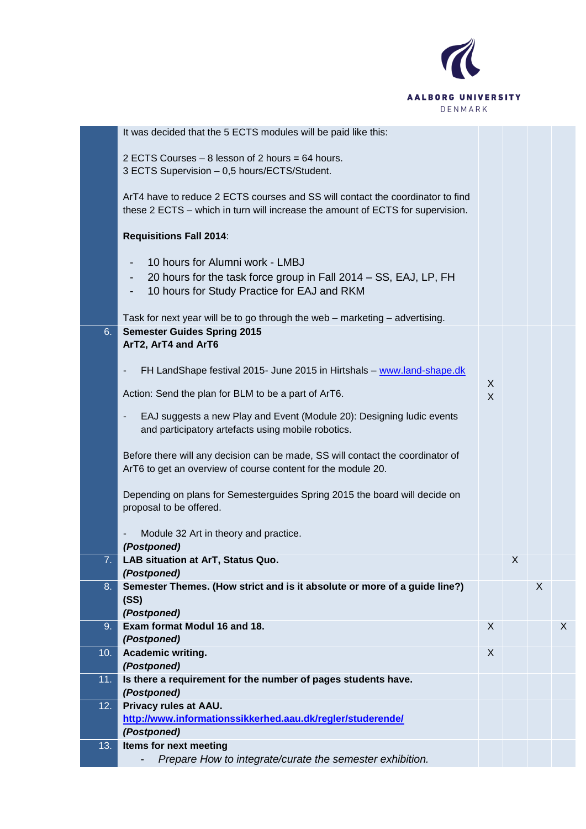

|     | It was decided that the 5 ECTS modules will be paid like this:                                                                                                   |        |   |   |   |
|-----|------------------------------------------------------------------------------------------------------------------------------------------------------------------|--------|---|---|---|
|     | 2 ECTS Courses - 8 lesson of 2 hours = 64 hours.<br>3 ECTS Supervision - 0,5 hours/ECTS/Student.                                                                 |        |   |   |   |
|     | ArT4 have to reduce 2 ECTS courses and SS will contact the coordinator to find<br>these 2 ECTS – which in turn will increase the amount of ECTS for supervision. |        |   |   |   |
|     | <b>Requisitions Fall 2014:</b>                                                                                                                                   |        |   |   |   |
|     | 10 hours for Alumni work - LMBJ                                                                                                                                  |        |   |   |   |
|     | 20 hours for the task force group in Fall 2014 – SS, EAJ, LP, FH<br>-<br>10 hours for Study Practice for EAJ and RKM<br>-                                        |        |   |   |   |
|     | Task for next year will be to go through the web - marketing - advertising.                                                                                      |        |   |   |   |
| 6.  | <b>Semester Guides Spring 2015</b><br>ArT2, ArT4 and ArT6                                                                                                        |        |   |   |   |
|     | FH LandShape festival 2015- June 2015 in Hirtshals - www.land-shape.dk<br>$\overline{\phantom{a}}$                                                               |        |   |   |   |
|     | Action: Send the plan for BLM to be a part of ArT6.                                                                                                              | X<br>X |   |   |   |
|     | EAJ suggests a new Play and Event (Module 20): Designing ludic events<br>$\overline{\phantom{a}}$<br>and participatory artefacts using mobile robotics.          |        |   |   |   |
|     | Before there will any decision can be made, SS will contact the coordinator of<br>ArT6 to get an overview of course content for the module 20.                   |        |   |   |   |
|     | Depending on plans for Semesterguides Spring 2015 the board will decide on<br>proposal to be offered.                                                            |        |   |   |   |
|     | Module 32 Art in theory and practice.<br>(Postponed)                                                                                                             |        |   |   |   |
|     | LAB situation at ArT, Status Quo.<br>(Postponed)                                                                                                                 |        | х |   |   |
| 8.  | Semester Themes. (How strict and is it absolute or more of a guide line?)<br>(SS)<br>(Postponed)                                                                 |        |   | X |   |
| 9.  | Exam format Modul 16 and 18.<br>(Postponed)                                                                                                                      | X      |   |   | X |
| 10. | Academic writing.<br>(Postponed)                                                                                                                                 | X      |   |   |   |
| 11. | Is there a requirement for the number of pages students have.                                                                                                    |        |   |   |   |
| 12. | (Postponed)<br>Privacy rules at AAU.                                                                                                                             |        |   |   |   |
|     | http://www.informationssikkerhed.aau.dk/regler/studerende/<br>(Postponed)                                                                                        |        |   |   |   |
| 13. | Items for next meeting                                                                                                                                           |        |   |   |   |
|     | Prepare How to integrate/curate the semester exhibition.                                                                                                         |        |   |   |   |